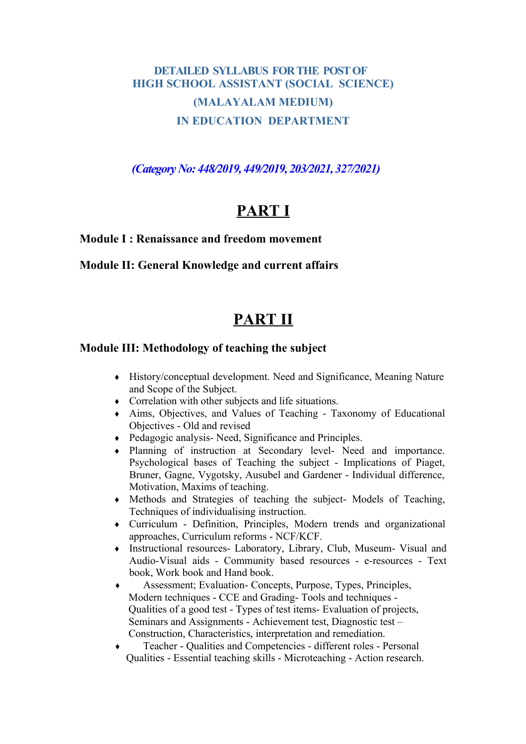# **DETAILED SYLLABUS FOR THE POST OF HIGH SCHOOL ASSISTANT (SOCIAL SCIENCE) (MALAYALAM MEDIUM) IN EDUCATION DEPARTMENT**

*(Category No: 448/2019, 449/2019, 203/2021, 327/2021)*

# **PART I**

#### **Module I : Renaissance and freedom movement**

#### **Module II: General Knowledge and current affairs**

# **PART II**

#### **Module III: Methodology of teaching the subject**

- ♦ History/conceptual development. Need and Significance, Meaning Nature and Scope of the Subject.
- ♦ Correlation with other subjects and life situations.
- ♦ Aims, Objectives, and Values of Teaching Taxonomy of Educational Objectives - Old and revised
- ♦ Pedagogic analysis- Need, Significance and Principles.
- ♦ Planning of instruction at Secondary level- Need and importance. Psychological bases of Teaching the subject - Implications of Piaget, Bruner, Gagne, Vygotsky, Ausubel and Gardener - Individual difference, Motivation, Maxims of teaching.
- ♦ Methods and Strategies of teaching the subject- Models of Teaching, Techniques of individualising instruction.
- ♦ Curriculum Definition, Principles, Modern trends and organizational approaches, Curriculum reforms - NCF/KCF.
- ♦ Instructional resources- Laboratory, Library, Club, Museum- Visual and Audio-Visual aids - Community based resources - e-resources - Text book, Work book and Hand book.
- ♦ Assessment; Evaluation- Concepts, Purpose, Types, Principles, Modern techniques - CCE and Grading- Tools and techniques - Qualities of a good test - Types of test items- Evaluation of projects, Seminars and Assignments - Achievement test, Diagnostic test – Construction, Characteristics, interpretation and remediation.
- ♦ Teacher Qualities and Competencies different roles Personal Qualities - Essential teaching skills - Microteaching - Action research.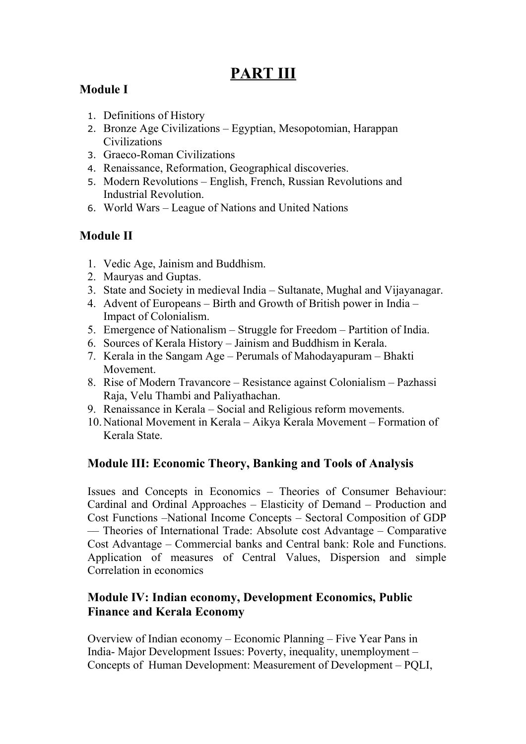# **PART III**

# **Module I**

- 1. Definitions of History
- 2. Bronze Age Civilizations Egyptian, Mesopotomian, Harappan **Civilizations**
- 3. Graeco-Roman Civilizations
- 4. Renaissance, Reformation, Geographical discoveries.
- 5. Modern Revolutions English, French, Russian Revolutions and Industrial Revolution.
- 6. World Wars League of Nations and United Nations

# **Module II**

- 1. Vedic Age, Jainism and Buddhism.
- 2. Mauryas and Guptas.
- 3. State and Society in medieval India Sultanate, Mughal and Vijayanagar.
- 4. Advent of Europeans Birth and Growth of British power in India Impact of Colonialism.
- 5. Emergence of Nationalism Struggle for Freedom Partition of India.
- 6. Sources of Kerala History Jainism and Buddhism in Kerala.
- 7. Kerala in the Sangam Age Perumals of Mahodayapuram Bhakti Movement.
- 8. Rise of Modern Travancore Resistance against Colonialism Pazhassi Raja, Velu Thambi and Paliyathachan.
- 9. Renaissance in Kerala Social and Religious reform movements.
- 10.National Movement in Kerala Aikya Kerala Movement Formation of Kerala State.

## **Module III: Economic Theory, Banking and Tools of Analysis**

Issues and Concepts in Economics – Theories of Consumer Behaviour: Cardinal and Ordinal Approaches – Elasticity of Demand – Production and Cost Functions –National Income Concepts – Sectoral Composition of GDP –– Theories of International Trade: Absolute cost Advantage – Comparative Cost Advantage – Commercial banks and Central bank: Role and Functions. Application of measures of Central Values, Dispersion and simple Correlation in economics

### **Module IV: Indian economy, Development Economics, Public Finance and Kerala Economy**

Overview of Indian economy – Economic Planning – Five Year Pans in India- Major Development Issues: Poverty, inequality, unemployment – Concepts of Human Development: Measurement of Development – PQLI,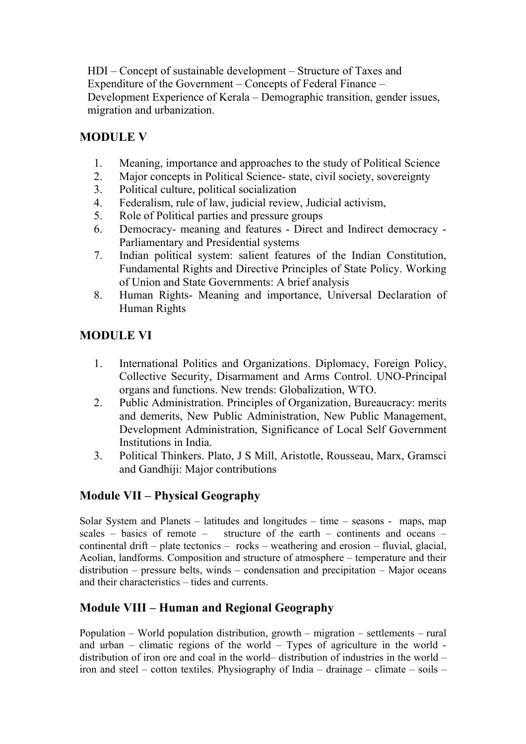HDI – Concept of sustainable development – Structure of Taxes and Expenditure of the Government – Concepts of Federal Finance – Development Experience of Kerala – Demographic transition, gender issues, migration and urbanization.

### **MODULE V**

- 1. Meaning, importance and approaches to the study of Political Science
- 2. Major concepts in Political Science- state, civil society, sovereignty
- 3. Political culture, political socialization
- 4. Federalism, rule of law, judicial review, Judicial activism,
- 5. Role of Political parties and pressure groups
- 6. Democracy- meaning and features Direct and Indirect democracy Parliamentary and Presidential systems
- 7. Indian political system: salient features of the Indian Constitution, Fundamental Rights and Directive Principles of State Policy. Working of Union and State Governments: A brief analysis
- 8. Human Rights- Meaning and importance, Universal Declaration of Human Rights

#### **MODULE VI**

- 1. International Politics and Organizations. Diplomacy, Foreign Policy, Collective Security, Disarmament and Arms Control. UNO-Principal organs and functions. New trends: Globalization, WTO.
- 2. Public Administration. Principles of Organization, Bureaucracy: merits and demerits, New Public Administration, New Public Management, Development Administration, Significance of Local Self Government Institutions in India.
- 3. Political Thinkers. Plato, J S Mill, Aristotle, Rousseau, Marx, Gramsci and Gandhiji: Major contributions

### **Module VII – Physical Geography**

Solar System and Planets – latitudes and longitudes – time – seasons - maps, map scales – basics of remote – structure of the earth – continents and oceans – continental drift – plate tectonics – rocks – weathering and erosion – fluvial, glacial, Aeolian, landforms. Composition and structure of atmosphere – temperature and their distribution – pressure belts, winds – condensation and precipitation – Major oceans and their characteristics – tides and currents.

### **Module VIII – Human and Regional Geography**

Population – World population distribution, growth – migration – settlements – rural and urban – climatic regions of the world – Types of agriculture in the world distribution of iron ore and coal in the world– distribution of industries in the world – iron and steel – cotton textiles. Physiography of India – drainage – climate – soils –